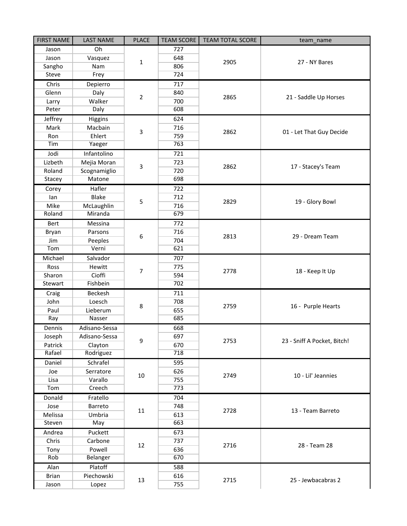| <b>FIRST NAME</b> | <b>LAST NAME</b> | <b>PLACE</b>   | <b>TEAM SCORE</b> | <b>TEAM TOTAL SCORE</b> | team name                   |
|-------------------|------------------|----------------|-------------------|-------------------------|-----------------------------|
| Jason             | Oh               | $\mathbf{1}$   | 727               | 2905                    | 27 - NY Bares               |
| Jason             | Vasquez          |                | 648               |                         |                             |
| Sangho            | Nam              |                | 806               |                         |                             |
| <b>Steve</b>      | Frey             |                | 724               |                         |                             |
| Chris             | Depierro         | $\overline{2}$ | 717               | 2865                    | 21 - Saddle Up Horses       |
| Glenn             | Daly             |                | 840               |                         |                             |
| Larry             | Walker           |                | 700               |                         |                             |
| Peter             | Daly             |                | 608               |                         |                             |
| Jeffrey           | Higgins          |                | 624               |                         |                             |
| Mark              | Macbain          | 3              | 716               | 2862                    | 01 - Let That Guy Decide    |
| Ron               | Ehlert           |                | 759               |                         |                             |
| Tim               | Yaeger           |                | 763               |                         |                             |
| Jodi              | Infantolino      |                | 721               |                         |                             |
| Lizbeth           | Mejia Moran      | 3              | 723               | 2862                    | 17 - Stacey's Team          |
| Roland            | Scognamiglio     |                | 720               |                         |                             |
| Stacey            | Matone           |                | 698               |                         |                             |
| Corey             | Hafler           |                | 722               | 2829                    | 19 - Glory Bowl             |
| lan               | Blake            |                | 712               |                         |                             |
| Mike              | McLaughlin       | 5              | 716               |                         |                             |
| Roland            | Miranda          |                | 679               |                         |                             |
| Bert              | Messina          |                | 772               | 2813                    | 29 - Dream Team             |
| Bryan             | Parsons          |                | 716               |                         |                             |
| Jim               | Peeples          | 6              | 704               |                         |                             |
| Tom               | Verni            |                | 621               |                         |                             |
| Michael           | Salvador         |                | 707               | 2778                    | 18 - Keep It Up             |
| Ross              | Hewitt           | 7              | 775               |                         |                             |
| Sharon            | Cioffi           |                | 594               |                         |                             |
| Stewart           | Fishbein         |                | 702               |                         |                             |
| Craig             | Beckesh          |                | 711               | 2759                    | 16 - Purple Hearts          |
| John              | Loesch           | 8              | 708               |                         |                             |
| Paul              | Lieberum         |                | 655               |                         |                             |
| Ray               | Nasser           |                | 685               |                         |                             |
| Dennis            | Adisano-Sessa    |                | 668               | 2753                    | 23 - Sniff A Pocket, Bitch! |
| Joseph            | Adisano-Sessa    | 9              | 697               |                         |                             |
| Patrick           | Clayton          |                | 670               |                         |                             |
| Rafael            | Rodriguez        |                | 718               |                         |                             |
| Daniel            | Schrafel         | 10             | 595               | 2749                    | 10 - Lil' Jeannies          |
| Joe               | Serratore        |                | 626               |                         |                             |
| Lisa              | Varallo          |                | 755               |                         |                             |
| Tom               | Creech           |                | 773               |                         |                             |
| Donald            | Fratello         | 11             | 704               | 2728                    | 13 - Team Barreto           |
| Jose              | Barreto          |                | 748               |                         |                             |
| Melissa           | Umbria           |                | 613               |                         |                             |
| Steven            | May              |                | 663               |                         |                             |
| Andrea            | Puckett          | 12             | 673               | 2716                    | 28 - Team 28                |
| Chris             | Carbone          |                | 737               |                         |                             |
| Tony              | Powell           |                | 636               |                         |                             |
| <b>Rob</b>        | Belanger         |                | 670               |                         |                             |
| Alan              | Platoff          |                | 588               |                         |                             |
| <b>Brian</b>      | Piechowski       | 13             | 616               | 2715                    | 25 - Jewbacabras 2          |
| Jason             | Lopez            |                | 755               |                         |                             |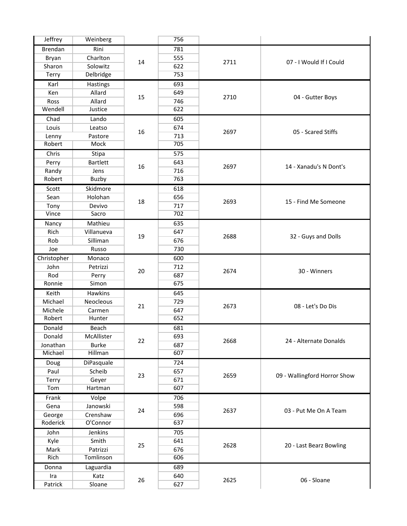| Jeffrey        | Weinberg        |    | 756 |      |                              |
|----------------|-----------------|----|-----|------|------------------------------|
| <b>Brendan</b> | Rini            | 14 | 781 | 2711 | 07 - I Would If I Could      |
| Bryan          | Charlton        |    | 555 |      |                              |
| Sharon         | Solowitz        |    | 622 |      |                              |
| Terry          | Delbridge       |    | 753 |      |                              |
| Karl           | Hastings        |    | 693 |      |                              |
| Ken            | Allard          | 15 | 649 | 2710 | 04 - Gutter Boys             |
| Ross           | Allard          |    | 746 |      |                              |
| Wendell        | Justice         |    | 622 |      |                              |
| Chad           | Lando           |    | 605 |      |                              |
| Louis          | Leatso          |    | 674 |      |                              |
| Lenny          | Pastore         | 16 | 713 | 2697 | 05 - Scared Stiffs           |
| Robert         | Mock            |    | 705 |      |                              |
| Chris          | Stipa           |    | 575 |      |                              |
| Perry          | <b>Bartlett</b> |    | 643 | 2697 | 14 - Xanadu's N Dont's       |
| Randy          | Jens            | 16 | 716 |      |                              |
| Robert         | Buzby           |    | 763 |      |                              |
| Scott          | Skidmore        |    | 618 |      |                              |
| Sean           | Holohan         |    | 656 | 2693 | 15 - Find Me Someone         |
|                |                 | 18 | 717 |      |                              |
| Tony<br>Vince  | Devivo<br>Sacro |    | 702 |      |                              |
|                |                 |    |     |      |                              |
| Nancy          | Mathieu         |    | 635 | 2688 | 32 - Guys and Dolls          |
| Rich           | Villanueva      | 19 | 647 |      |                              |
| Rob            | Silliman        |    | 676 |      |                              |
| Joe            | Russo           |    | 730 |      |                              |
| Christopher    | Monaco          | 20 | 600 | 2674 | 30 - Winners                 |
| John           | Petrizzi        |    | 712 |      |                              |
| Rod            | Perry           |    | 687 |      |                              |
| Ronnie         | Simon           |    | 675 |      |                              |
| Keith          | Hawkins         |    | 645 | 2673 | 08 - Let's Do Dis            |
| Michael        | Neocleous       | 21 | 729 |      |                              |
| Michele        | Carmen          |    | 647 |      |                              |
| Robert         | Hunter          |    | 652 |      |                              |
| Donald         | Beach           |    | 681 | 2668 | 24 - Alternate Donalds       |
| Donald         | McAllister      | 22 | 693 |      |                              |
| Jonathan       | <b>Burke</b>    |    | 687 |      |                              |
| Michael        | Hillman         |    | 607 |      |                              |
| Doug           | DiPasquale      | 23 | 724 | 2659 | 09 - Wallingford Horror Show |
| Paul           | Scheib          |    | 657 |      |                              |
| Terry          | Geyer           |    | 671 |      |                              |
| Tom            | Hartman         |    | 607 |      |                              |
| Frank          | Volpe           | 24 | 706 | 2637 | 03 - Put Me On A Team        |
| Gena           | Janowski        |    | 598 |      |                              |
| George         | Crenshaw        |    | 696 |      |                              |
| Roderick       | O'Connor        |    | 637 |      |                              |
| John           | Jenkins         |    | 705 | 2628 | 20 - Last Bearz Bowling      |
| Kyle           | Smith           |    | 641 |      |                              |
| Mark           | Patrizzi        | 25 | 676 |      |                              |
| Rich           | Tomlinson       |    | 606 |      |                              |
| Donna          | Laguardia       |    | 689 |      |                              |
| Ira            | Katz            |    | 640 |      |                              |
| Patrick        | Sloane          | 26 | 627 | 2625 | 06 - Sloane                  |
|                |                 |    |     |      |                              |